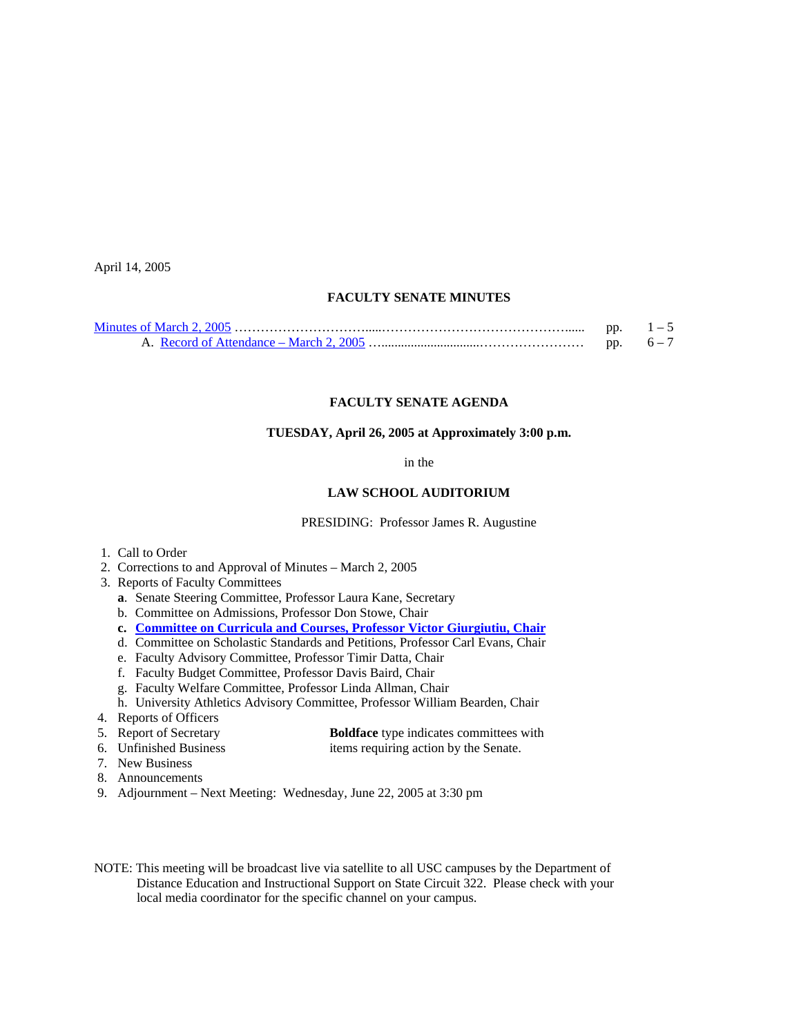April 14, 2005

## **FACULTY SENATE MINUTES**

| pp. |  |
|-----|--|
| pp. |  |

## **FACULTY SENATE AGENDA**

# **TUESDAY, April 26, 2005 at Approximately 3:00 p.m.**

in the

### **LAW SCHOOL AUDITORIUM**

PRESIDING: Professor James R. Augustine

- 1. Call to Order
- 2. Corrections to and Approval of Minutes March 2, 2005
- 3. Reports of Faculty Committees
	- **a**. Senate Steering Committee, Professor Laura Kane, Secretary
	- b. Committee on Admissions, Professor Don Stowe, Chair
	- **c. [Committee on Curricula and Courses, Professor Victor Giurgiutiu, Chair](http://www.sc.edu/faculty/senate/05/agenda/0426.cc.pdf)**
	- d. Committee on Scholastic Standards and Petitions, Professor Carl Evans, Chair
	- e. Faculty Advisory Committee, Professor Timir Datta, Chair
	- f. Faculty Budget Committee, Professor Davis Baird, Chair
	- g. Faculty Welfare Committee, Professor Linda Allman, Chair
	- h. University Athletics Advisory Committee, Professor William Bearden, Chair
- 4. Reports of Officers<br>5. Report of Secretary
	- **Boldface** type indicates committees with
- 
- 6. Unfinished Business items requiring action by the Senate.
- 7. New Business
- 8. Announcements
- 9. Adjournment Next Meeting: Wednesday, June 22, 2005 at 3:30 pm

NOTE: This meeting will be broadcast live via satellite to all USC campuses by the Department of Distance Education and Instructional Support on State Circuit 322. Please check with your local media coordinator for the specific channel on your campus.